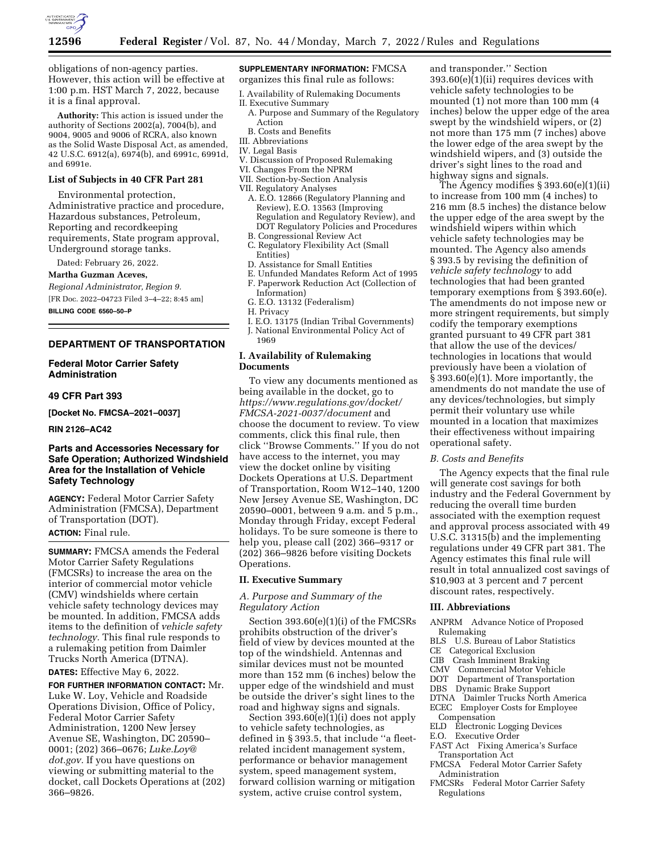

obligations of non-agency parties. However, this action will be effective at 1:00 p.m. HST March 7, 2022, because it is a final approval.

**Authority:** This action is issued under the authority of Sections 2002(a), 7004(b), and 9004, 9005 and 9006 of RCRA, also known as the Solid Waste Disposal Act, as amended, 42 U.S.C. 6912(a), 6974(b), and 6991c, 6991d, and 6991e.

### **List of Subjects in 40 CFR Part 281**

Environmental protection, Administrative practice and procedure, Hazardous substances, Petroleum, Reporting and recordkeeping requirements, State program approval, Underground storage tanks.

Dated: February 26, 2022.

#### **Martha Guzman Aceves,**

*Regional Administrator, Region 9.* 

[FR Doc. 2022–04723 Filed 3–4–22; 8:45 am] **BILLING CODE 6560–50–P** 

### **DEPARTMENT OF TRANSPORTATION**

### **Federal Motor Carrier Safety Administration**

# **49 CFR Part 393**

**[Docket No. FMCSA–2021–0037]** 

### **RIN 2126–AC42**

# **Parts and Accessories Necessary for Safe Operation; Authorized Windshield Area for the Installation of Vehicle Safety Technology**

**AGENCY:** Federal Motor Carrier Safety Administration (FMCSA), Department of Transportation (DOT).

# **ACTION:** Final rule.

**SUMMARY:** FMCSA amends the Federal Motor Carrier Safety Regulations (FMCSRs) to increase the area on the interior of commercial motor vehicle (CMV) windshields where certain vehicle safety technology devices may be mounted. In addition, FMCSA adds items to the definition of *vehicle safety technology.* This final rule responds to a rulemaking petition from Daimler Trucks North America (DTNA).

**DATES:** Effective May 6, 2022.

**FOR FURTHER INFORMATION CONTACT:** Mr. Luke W. Loy, Vehicle and Roadside Operations Division, Office of Policy, Federal Motor Carrier Safety Administration, 1200 New Jersey Avenue SE, Washington, DC 20590– 0001; (202) 366–0676; *[Luke.Loy@](mailto:Luke.Loy@dot.gov) [dot.gov.](mailto:Luke.Loy@dot.gov)* If you have questions on viewing or submitting material to the docket, call Dockets Operations at (202) 366–9826.

### **SUPPLEMENTARY INFORMATION:** FMCSA organizes this final rule as follows:

- I. Availability of Rulemaking Documents
- II. Executive Summary
- A. Purpose and Summary of the Regulatory Action
- B. Costs and Benefits
- III. Abbreviations
- IV. Legal Basis
- V. Discussion of Proposed Rulemaking
- VI. Changes From the NPRM
- VII. Section-by-Section Analysis
- VII. Regulatory Analyses
	- A. E.O. 12866 (Regulatory Planning and Review), E.O. 13563 (Improving Regulation and Regulatory Review), and DOT Regulatory Policies and Procedures B. Congressional Review Act
	- C. Regulatory Flexibility Act (Small
- Entities)
- D. Assistance for Small Entities
- E. Unfunded Mandates Reform Act of 1995
- F. Paperwork Reduction Act (Collection of Information)
- G. E.O. 13132 (Federalism)
- H. Privacy
- I. E.O. 13175 (Indian Tribal Governments)
- J. National Environmental Policy Act of
- 1969

### **I. Availability of Rulemaking Documents**

To view any documents mentioned as being available in the docket, go to *[https://www.regulations.gov/docket/](https://www.regulations.gov/docket/FMCSA-2021-0037/document)  [FMCSA-2021-0037/document](https://www.regulations.gov/docket/FMCSA-2021-0037/document)* and choose the document to review. To view comments, click this final rule, then click ''Browse Comments.'' If you do not have access to the internet, you may view the docket online by visiting Dockets Operations at U.S. Department of Transportation, Room W12–140, 1200 New Jersey Avenue SE, Washington, DC 20590–0001, between 9 a.m. and 5 p.m., Monday through Friday, except Federal holidays. To be sure someone is there to help you, please call (202) 366–9317 or (202) 366–9826 before visiting Dockets Operations.

### **II. Executive Summary**

### *A. Purpose and Summary of the Regulatory Action*

Section 393.60(e)(1)(i) of the FMCSRs prohibits obstruction of the driver's field of view by devices mounted at the top of the windshield. Antennas and similar devices must not be mounted more than 152 mm (6 inches) below the upper edge of the windshield and must be outside the driver's sight lines to the road and highway signs and signals.

Section  $393.60(e)(1)(i)$  does not apply to vehicle safety technologies, as defined in § 393.5, that include ''a fleetrelated incident management system, performance or behavior management system, speed management system, forward collision warning or mitigation system, active cruise control system,

and transponder.'' Section  $393.60(e)$  $(1)(ii)$  requires devices with vehicle safety technologies to be mounted (1) not more than 100 mm (4 inches) below the upper edge of the area swept by the windshield wipers, or (2) not more than 175 mm (7 inches) above the lower edge of the area swept by the windshield wipers, and (3) outside the driver's sight lines to the road and highway signs and signals.

The Agency modifies § 393.60(e)(1)(ii) to increase from 100 mm (4 inches) to 216 mm (8.5 inches) the distance below the upper edge of the area swept by the windshield wipers within which vehicle safety technologies may be mounted. The Agency also amends § 393.5 by revising the definition of *vehicle safety technology* to add technologies that had been granted temporary exemptions from § 393.60(e). The amendments do not impose new or more stringent requirements, but simply codify the temporary exemptions granted pursuant to 49 CFR part 381 that allow the use of the devices/ technologies in locations that would previously have been a violation of § 393.60(e)(1). More importantly, the amendments do not mandate the use of any devices/technologies, but simply permit their voluntary use while mounted in a location that maximizes their effectiveness without impairing operational safety.

#### *B. Costs and Benefits*

The Agency expects that the final rule will generate cost savings for both industry and the Federal Government by reducing the overall time burden associated with the exemption request and approval process associated with 49 U.S.C. 31315(b) and the implementing regulations under 49 CFR part 381. The Agency estimates this final rule will result in total annualized cost savings of \$10,903 at 3 percent and 7 percent discount rates, respectively.

#### **III. Abbreviations**

- ANPRM Advance Notice of Proposed Rulemaking
- BLS U.S. Bureau of Labor Statistics
- CE Categorical Exclusion
- CIB Crash Imminent Braking
- CMV Commercial Motor Vehicle
- DOT Department of Transportation
- DBS Dynamic Brake Support
- DTNA Daimler Trucks North America ECEC Employer Costs for Employee
- Compensation
- ELD Electronic Logging Devices
- 
- E.O. Executive Order
- FAST Act Fixing America's Surface Transportation Act
- FMCSA Federal Motor Carrier Safety Administration
- FMCSRs Federal Motor Carrier Safety Regulations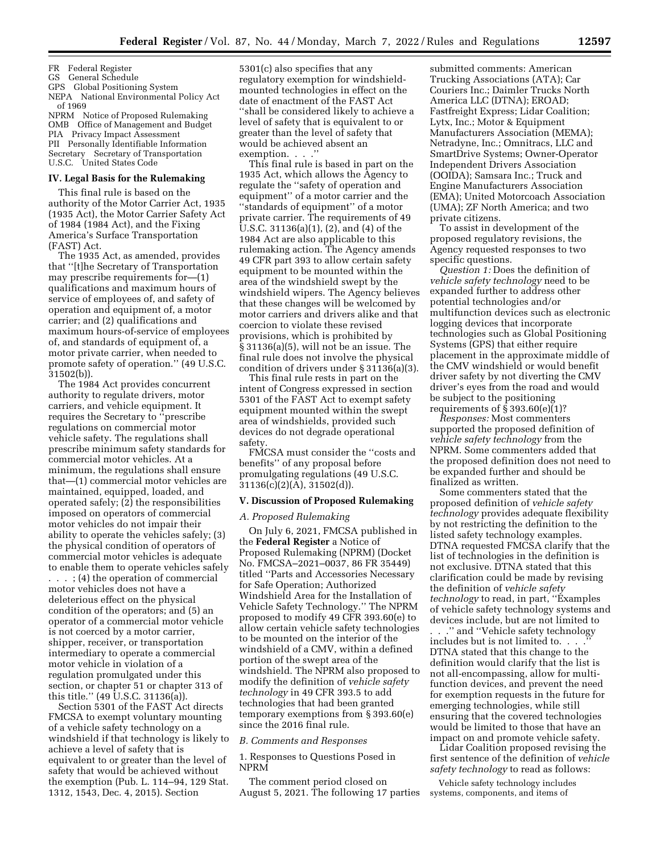FR Federal Register

GS General Schedule

GPS Global Positioning System

NEPA National Environmental Policy Act of 1969

NPRM Notice of Proposed Rulemaking OMB Office of Management and Budget PIA Privacy Impact Assessment PII Personally Identifiable Information Secretary Secretary of Transportation U.S.C. United States Code

#### **IV. Legal Basis for the Rulemaking**

This final rule is based on the authority of the Motor Carrier Act, 1935 (1935 Act), the Motor Carrier Safety Act of 1984 (1984 Act), and the Fixing America's Surface Transportation (FAST) Act.

The 1935 Act, as amended, provides that ''[t]he Secretary of Transportation may prescribe requirements for—(1) qualifications and maximum hours of service of employees of, and safety of operation and equipment of, a motor carrier; and (2) qualifications and maximum hours-of-service of employees of, and standards of equipment of, a motor private carrier, when needed to promote safety of operation.'' (49 U.S.C. 31502(b)).

The 1984 Act provides concurrent authority to regulate drivers, motor carriers, and vehicle equipment. It requires the Secretary to ''prescribe regulations on commercial motor vehicle safety. The regulations shall prescribe minimum safety standards for commercial motor vehicles. At a minimum, the regulations shall ensure that—(1) commercial motor vehicles are maintained, equipped, loaded, and operated safely; (2) the responsibilities imposed on operators of commercial motor vehicles do not impair their ability to operate the vehicles safely; (3) the physical condition of operators of commercial motor vehicles is adequate to enable them to operate vehicles safely . . . ; (4) the operation of commercial motor vehicles does not have a deleterious effect on the physical condition of the operators; and (5) an operator of a commercial motor vehicle is not coerced by a motor carrier, shipper, receiver, or transportation intermediary to operate a commercial motor vehicle in violation of a regulation promulgated under this section, or chapter 51 or chapter 313 of this title.'' (49 U.S.C. 31136(a)).

Section 5301 of the FAST Act directs FMCSA to exempt voluntary mounting of a vehicle safety technology on a windshield if that technology is likely to achieve a level of safety that is equivalent to or greater than the level of safety that would be achieved without the exemption (Pub. L. 114–94, 129 Stat. 1312, 1543, Dec. 4, 2015). Section

5301(c) also specifies that any regulatory exemption for windshieldmounted technologies in effect on the date of enactment of the FAST Act ''shall be considered likely to achieve a level of safety that is equivalent to or greater than the level of safety that would be achieved absent an exemption. . . ."

This final rule is based in part on the 1935 Act, which allows the Agency to regulate the ''safety of operation and equipment'' of a motor carrier and the ''standards of equipment'' of a motor private carrier. The requirements of 49 U.S.C. 31136(a)(1), (2), and (4) of the 1984 Act are also applicable to this rulemaking action. The Agency amends 49 CFR part 393 to allow certain safety equipment to be mounted within the area of the windshield swept by the windshield wipers. The Agency believes that these changes will be welcomed by motor carriers and drivers alike and that coercion to violate these revised provisions, which is prohibited by § 31136(a)(5), will not be an issue. The final rule does not involve the physical condition of drivers under § 31136(a)(3).

This final rule rests in part on the intent of Congress expressed in section 5301 of the FAST Act to exempt safety equipment mounted within the swept area of windshields, provided such devices do not degrade operational safety.

FMCSA must consider the ''costs and benefits'' of any proposal before promulgating regulations (49 U.S.C. 31136(c)(2)(A), 31502(d)).

### **V. Discussion of Proposed Rulemaking**

### *A. Proposed Rulemaking*

On July 6, 2021, FMCSA published in the **Federal Register** a Notice of Proposed Rulemaking (NPRM) (Docket No. FMCSA–2021–0037, 86 FR 35449) titled ''Parts and Accessories Necessary for Safe Operation; Authorized Windshield Area for the Installation of Vehicle Safety Technology.'' The NPRM proposed to modify 49 CFR 393.60(e) to allow certain vehicle safety technologies to be mounted on the interior of the windshield of a CMV, within a defined portion of the swept area of the windshield. The NPRM also proposed to modify the definition of *vehicle safety technology* in 49 CFR 393.5 to add technologies that had been granted temporary exemptions from § 393.60(e) since the 2016 final rule.

#### *B. Comments and Responses*

1. Responses to Questions Posed in NPRM

The comment period closed on August 5, 2021. The following 17 parties

submitted comments: American Trucking Associations (ATA); Car Couriers Inc.; Daimler Trucks North America LLC (DTNA); EROAD; Fastfreight Express; Lidar Coalition; Lytx, Inc.; Motor & Equipment Manufacturers Association (MEMA); Netradyne, Inc.; Omnitracs, LLC and SmartDrive Systems; Owner-Operator Independent Drivers Association (OOIDA); Samsara Inc.; Truck and Engine Manufacturers Association (EMA); United Motorcoach Association (UMA); ZF North America; and two private citizens.

To assist in development of the proposed regulatory revisions, the Agency requested responses to two specific questions.

*Question 1:* Does the definition of *vehicle safety technology* need to be expanded further to address other potential technologies and/or multifunction devices such as electronic logging devices that incorporate technologies such as Global Positioning Systems (GPS) that either require placement in the approximate middle of the CMV windshield or would benefit driver safety by not diverting the CMV driver's eyes from the road and would be subject to the positioning requirements of  $\S 393.60(e)(1)?$ 

*Responses:* Most commenters supported the proposed definition of *vehicle safety technology* from the NPRM. Some commenters added that the proposed definition does not need to be expanded further and should be finalized as written.

Some commenters stated that the proposed definition of *vehicle safety technology* provides adequate flexibility by not restricting the definition to the listed safety technology examples. DTNA requested FMCSA clarify that the list of technologies in the definition is not exclusive. DTNA stated that this clarification could be made by revising the definition of *vehicle safety technology* to read, in part, ''Examples of vehicle safety technology systems and devices include, but are not limited to

. . .'' and ''Vehicle safety technology includes but is not limited to. . . . DTNA stated that this change to the definition would clarify that the list is not all-encompassing, allow for multifunction devices, and prevent the need for exemption requests in the future for emerging technologies, while still ensuring that the covered technologies would be limited to those that have an impact on and promote vehicle safety.

Lidar Coalition proposed revising the first sentence of the definition of *vehicle safety technology* to read as follows:

Vehicle safety technology includes systems, components, and items of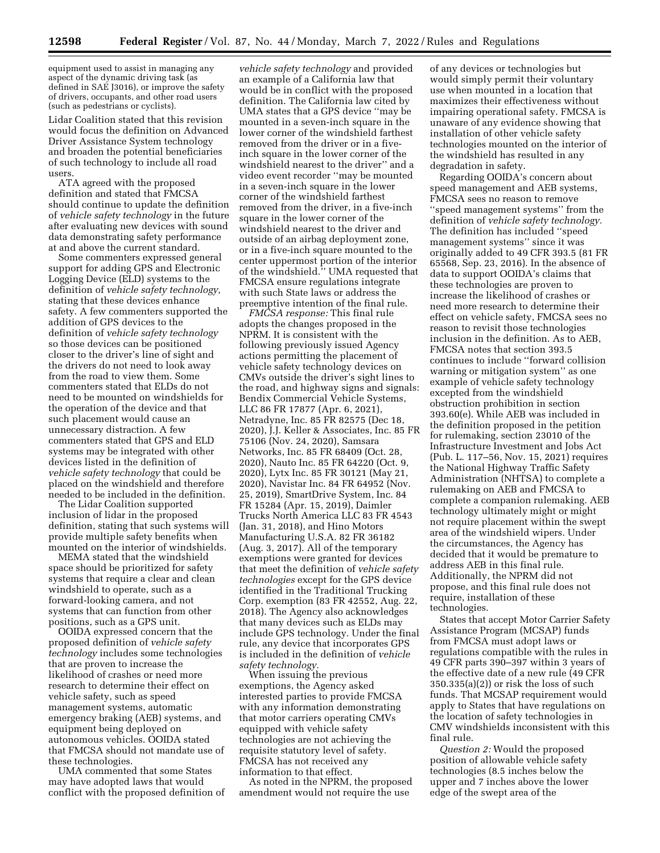equipment used to assist in managing any aspect of the dynamic driving task (as defined in SAE J3016), or improve the safety of drivers, occupants, and other road users (such as pedestrians or cyclists).

Lidar Coalition stated that this revision would focus the definition on Advanced Driver Assistance System technology and broaden the potential beneficiaries of such technology to include all road users.

ATA agreed with the proposed definition and stated that FMCSA should continue to update the definition of *vehicle safety technology* in the future after evaluating new devices with sound data demonstrating safety performance at and above the current standard.

Some commenters expressed general support for adding GPS and Electronic Logging Device (ELD) systems to the definition of *vehicle safety technology,*  stating that these devices enhance safety. A few commenters supported the addition of GPS devices to the definition of *vehicle safety technology*  so those devices can be positioned closer to the driver's line of sight and the drivers do not need to look away from the road to view them. Some commenters stated that ELDs do not need to be mounted on windshields for the operation of the device and that such placement would cause an unnecessary distraction. A few commenters stated that GPS and ELD systems may be integrated with other devices listed in the definition of *vehicle safety technology* that could be placed on the windshield and therefore needed to be included in the definition.

The Lidar Coalition supported inclusion of lidar in the proposed definition, stating that such systems will provide multiple safety benefits when mounted on the interior of windshields.

MEMA stated that the windshield space should be prioritized for safety systems that require a clear and clean windshield to operate, such as a forward-looking camera, and not systems that can function from other positions, such as a GPS unit.

OOIDA expressed concern that the proposed definition of *vehicle safety technology* includes some technologies that are proven to increase the likelihood of crashes or need more research to determine their effect on vehicle safety, such as speed management systems, automatic emergency braking (AEB) systems, and equipment being deployed on autonomous vehicles. OOIDA stated that FMCSA should not mandate use of these technologies.

UMA commented that some States may have adopted laws that would conflict with the proposed definition of

*vehicle safety technology* and provided an example of a California law that would be in conflict with the proposed definition. The California law cited by UMA states that a GPS device ''may be mounted in a seven-inch square in the lower corner of the windshield farthest removed from the driver or in a fiveinch square in the lower corner of the windshield nearest to the driver'' and a video event recorder ''may be mounted in a seven-inch square in the lower corner of the windshield farthest removed from the driver, in a five-inch square in the lower corner of the windshield nearest to the driver and outside of an airbag deployment zone, or in a five-inch square mounted to the center uppermost portion of the interior of the windshield.'' UMA requested that FMCSA ensure regulations integrate with such State laws or address the preemptive intention of the final rule.

*FMCSA response:* This final rule adopts the changes proposed in the NPRM. It is consistent with the following previously issued Agency actions permitting the placement of vehicle safety technology devices on CMVs outside the driver's sight lines to the road, and highway signs and signals: Bendix Commercial Vehicle Systems, LLC 86 FR 17877 (Apr. 6, 2021), Netradyne, Inc. 85 FR 82575 (Dec 18, 2020), J.J. Keller & Associates, Inc. 85 FR 75106 (Nov. 24, 2020), Samsara Networks, Inc. 85 FR 68409 (Oct. 28, 2020), Nauto Inc. 85 FR 64220 (Oct. 9, 2020), Lytx Inc. 85 FR 30121 (May 21, 2020), Navistar Inc. 84 FR 64952 (Nov. 25, 2019), SmartDrive System, Inc. 84 FR 15284 (Apr. 15, 2019), Daimler Trucks North America LLC 83 FR 4543 (Jan. 31, 2018), and Hino Motors Manufacturing U.S.A. 82 FR 36182 (Aug. 3, 2017). All of the temporary exemptions were granted for devices that meet the definition of *vehicle safety technologies* except for the GPS device identified in the Traditional Trucking Corp. exemption (83 FR 42552, Aug. 22, 2018). The Agency also acknowledges that many devices such as ELDs may include GPS technology. Under the final rule, any device that incorporates GPS is included in the definition of *vehicle safety technology.* 

When issuing the previous exemptions, the Agency asked interested parties to provide FMCSA with any information demonstrating that motor carriers operating CMVs equipped with vehicle safety technologies are not achieving the requisite statutory level of safety. FMCSA has not received any information to that effect.

As noted in the NPRM, the proposed amendment would not require the use

of any devices or technologies but would simply permit their voluntary use when mounted in a location that maximizes their effectiveness without impairing operational safety. FMCSA is unaware of any evidence showing that installation of other vehicle safety technologies mounted on the interior of the windshield has resulted in any degradation in safety.

Regarding OOIDA's concern about speed management and AEB systems, FMCSA sees no reason to remove ''speed management systems'' from the definition of *vehicle safety technology.*  The definition has included ''speed management systems'' since it was originally added to 49 CFR 393.5 (81 FR 65568, Sep. 23, 2016). In the absence of data to support OOIDA's claims that these technologies are proven to increase the likelihood of crashes or need more research to determine their effect on vehicle safety, FMCSA sees no reason to revisit those technologies inclusion in the definition. As to AEB, FMCSA notes that section 393.5 continues to include ''forward collision warning or mitigation system'' as one example of vehicle safety technology excepted from the windshield obstruction prohibition in section 393.60(e). While AEB was included in the definition proposed in the petition for rulemaking, section 23010 of the Infrastructure Investment and Jobs Act (Pub. L. 117–56, Nov. 15, 2021) requires the National Highway Traffic Safety Administration (NHTSA) to complete a rulemaking on AEB and FMCSA to complete a companion rulemaking. AEB technology ultimately might or might not require placement within the swept area of the windshield wipers. Under the circumstances, the Agency has decided that it would be premature to address AEB in this final rule. Additionally, the NPRM did not propose, and this final rule does not require, installation of these technologies.

States that accept Motor Carrier Safety Assistance Program (MCSAP) funds from FMCSA must adopt laws or regulations compatible with the rules in 49 CFR parts 390–397 within 3 years of the effective date of a new rule (49 CFR 350.335(a)(2)) or risk the loss of such funds. That MCSAP requirement would apply to States that have regulations on the location of safety technologies in CMV windshields inconsistent with this final rule.

*Question 2:* Would the proposed position of allowable vehicle safety technologies (8.5 inches below the upper and 7 inches above the lower edge of the swept area of the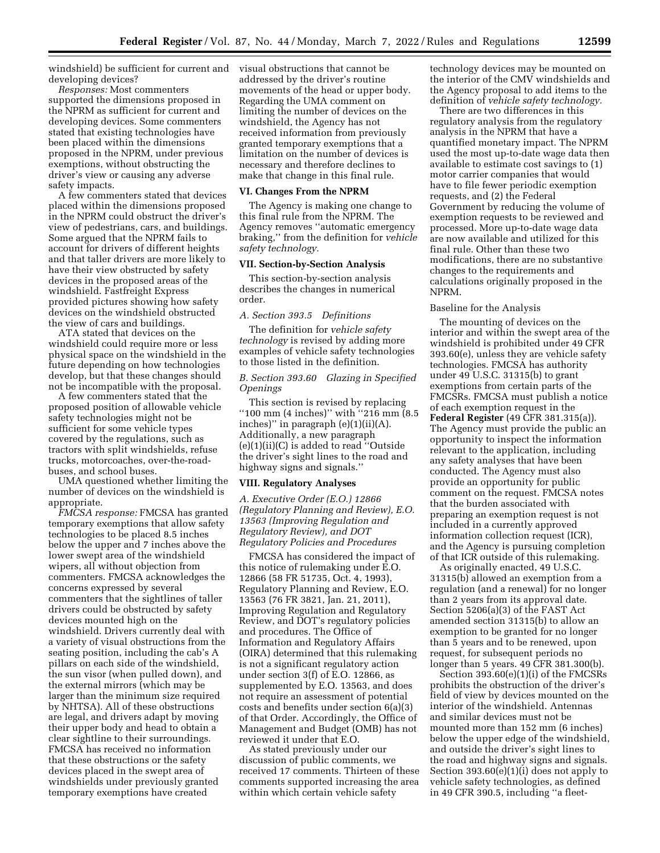windshield) be sufficient for current and visual obstructions that cannot be developing devices?

*Responses:* Most commenters supported the dimensions proposed in the NPRM as sufficient for current and developing devices. Some commenters stated that existing technologies have been placed within the dimensions proposed in the NPRM, under previous exemptions, without obstructing the driver's view or causing any adverse safety impacts.

A few commenters stated that devices placed within the dimensions proposed in the NPRM could obstruct the driver's view of pedestrians, cars, and buildings. Some argued that the NPRM fails to account for drivers of different heights and that taller drivers are more likely to have their view obstructed by safety devices in the proposed areas of the windshield. Fastfreight Express provided pictures showing how safety devices on the windshield obstructed the view of cars and buildings.

ATA stated that devices on the windshield could require more or less physical space on the windshield in the future depending on how technologies develop, but that these changes should not be incompatible with the proposal.

A few commenters stated that the proposed position of allowable vehicle safety technologies might not be sufficient for some vehicle types covered by the regulations, such as tractors with split windshields, refuse trucks, motorcoaches, over-the-roadbuses, and school buses.

UMA questioned whether limiting the number of devices on the windshield is appropriate.

*FMCSA response:* FMCSA has granted temporary exemptions that allow safety technologies to be placed 8.5 inches below the upper and 7 inches above the lower swept area of the windshield wipers, all without objection from commenters. FMCSA acknowledges the concerns expressed by several commenters that the sightlines of taller drivers could be obstructed by safety devices mounted high on the windshield. Drivers currently deal with a variety of visual obstructions from the seating position, including the cab's A pillars on each side of the windshield, the sun visor (when pulled down), and the external mirrors (which may be larger than the minimum size required by NHTSA). All of these obstructions are legal, and drivers adapt by moving their upper body and head to obtain a clear sightline to their surroundings. FMCSA has received no information that these obstructions or the safety devices placed in the swept area of windshields under previously granted temporary exemptions have created

addressed by the driver's routine movements of the head or upper body. Regarding the UMA comment on limiting the number of devices on the windshield, the Agency has not received information from previously granted temporary exemptions that a limitation on the number of devices is necessary and therefore declines to make that change in this final rule.

#### **VI. Changes From the NPRM**

The Agency is making one change to this final rule from the NPRM. The Agency removes ''automatic emergency braking,'' from the definition for *vehicle safety technology.* 

# **VII. Section-by-Section Analysis**

This section-by-section analysis describes the changes in numerical order.

#### *A. Section 393.5 Definitions*

The definition for *vehicle safety technology* is revised by adding more examples of vehicle safety technologies to those listed in the definition.

### *B. Section 393.60 Glazing in Specified Openings*

This section is revised by replacing ''100 mm (4 inches)'' with ''216 mm (8.5 inches)'' in paragraph (e)(1)(ii)(A). Additionally, a new paragraph (e)(1)(ii)(C) is added to read ''Outside the driver's sight lines to the road and highway signs and signals.''

#### **VIII. Regulatory Analyses**

*A. Executive Order (E.O.) 12866 (Regulatory Planning and Review), E.O. 13563 (Improving Regulation and Regulatory Review), and DOT Regulatory Policies and Procedures* 

FMCSA has considered the impact of this notice of rulemaking under E.O. 12866 (58 FR 51735, Oct. 4, 1993), Regulatory Planning and Review, E.O. 13563 (76 FR 3821, Jan. 21, 2011), Improving Regulation and Regulatory Review, and DOT's regulatory policies and procedures. The Office of Information and Regulatory Affairs (OIRA) determined that this rulemaking is not a significant regulatory action under section 3(f) of E.O. 12866, as supplemented by E.O. 13563, and does not require an assessment of potential costs and benefits under section 6(a)(3) of that Order. Accordingly, the Office of Management and Budget (OMB) has not reviewed it under that E.O.

As stated previously under our discussion of public comments, we received 17 comments. Thirteen of these comments supported increasing the area within which certain vehicle safety

technology devices may be mounted on the interior of the CMV windshields and the Agency proposal to add items to the definition of *vehicle safety technology.* 

There are two differences in this regulatory analysis from the regulatory analysis in the NPRM that have a quantified monetary impact. The NPRM used the most up-to-date wage data then available to estimate cost savings to (1) motor carrier companies that would have to file fewer periodic exemption requests, and (2) the Federal Government by reducing the volume of exemption requests to be reviewed and processed. More up-to-date wage data are now available and utilized for this final rule. Other than these two modifications, there are no substantive changes to the requirements and calculations originally proposed in the NPRM.

### Baseline for the Analysis

The mounting of devices on the interior and within the swept area of the windshield is prohibited under 49 CFR 393.60(e), unless they are vehicle safety technologies. FMCSA has authority under 49 U.S.C. 31315(b) to grant exemptions from certain parts of the FMCSRs. FMCSA must publish a notice of each exemption request in the **Federal Register** (49 CFR 381.315(a)). The Agency must provide the public an opportunity to inspect the information relevant to the application, including any safety analyses that have been conducted. The Agency must also provide an opportunity for public comment on the request. FMCSA notes that the burden associated with preparing an exemption request is not included in a currently approved information collection request (ICR), and the Agency is pursuing completion of that ICR outside of this rulemaking.

As originally enacted, 49 U.S.C. 31315(b) allowed an exemption from a regulation (and a renewal) for no longer than 2 years from its approval date. Section 5206(a)(3) of the FAST Act amended section 31315(b) to allow an exemption to be granted for no longer than 5 years and to be renewed, upon request, for subsequent periods no longer than 5 years. 49 CFR 381.300(b).

Section 393.60(e)(1)(i) of the FMCSRs prohibits the obstruction of the driver's field of view by devices mounted on the interior of the windshield. Antennas and similar devices must not be mounted more than 152 mm (6 inches) below the upper edge of the windshield, and outside the driver's sight lines to the road and highway signs and signals. Section 393.60(e)(1)(i) does not apply to vehicle safety technologies, as defined in 49 CFR 390.5, including ''a fleet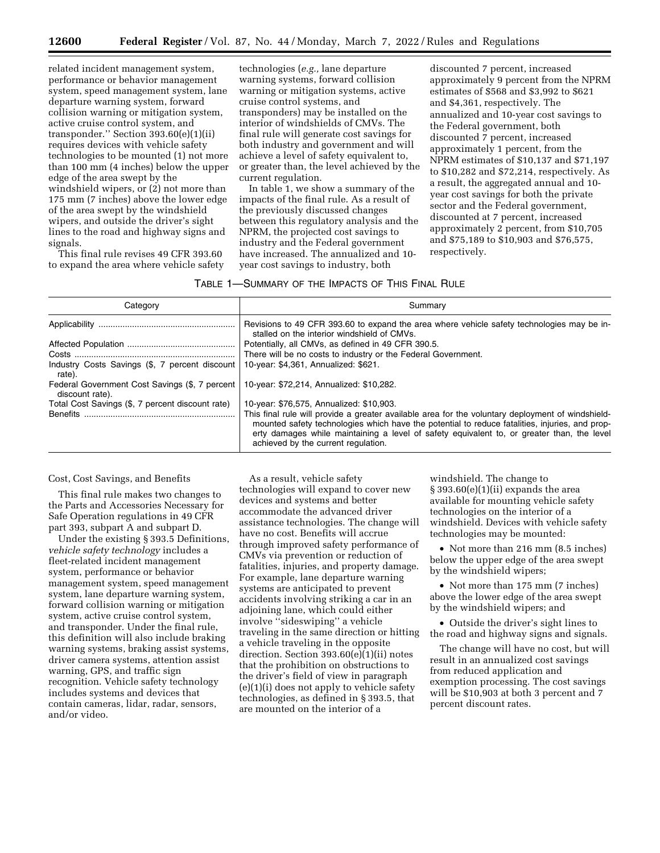related incident management system, performance or behavior management system, speed management system, lane departure warning system, forward collision warning or mitigation system, active cruise control system, and transponder.'' Section 393.60(e)(1)(ii) requires devices with vehicle safety technologies to be mounted (1) not more than 100 mm (4 inches) below the upper edge of the area swept by the windshield wipers, or (2) not more than 175 mm (7 inches) above the lower edge of the area swept by the windshield wipers, and outside the driver's sight lines to the road and highway signs and signals.

This final rule revises 49 CFR 393.60 to expand the area where vehicle safety

technologies (*e.g.,* lane departure warning systems, forward collision warning or mitigation systems, active cruise control systems, and transponders) may be installed on the interior of windshields of CMVs. The final rule will generate cost savings for both industry and government and will achieve a level of safety equivalent to, or greater than, the level achieved by the current regulation.

In table 1, we show a summary of the impacts of the final rule. As a result of the previously discussed changes between this regulatory analysis and the NPRM, the projected cost savings to industry and the Federal government have increased. The annualized and 10 year cost savings to industry, both

discounted 7 percent, increased approximately 9 percent from the NPRM estimates of \$568 and \$3,992 to \$621 and \$4,361, respectively. The annualized and 10-year cost savings to the Federal government, both discounted 7 percent, increased approximately 1 percent, from the NPRM estimates of \$10,137 and \$71,197 to \$10,282 and \$72,214, respectively. As a result, the aggregated annual and 10 year cost savings for both the private sector and the Federal government, discounted at 7 percent, increased approximately 2 percent, from \$10,705 and \$75,189 to \$10,903 and \$76,575, respectively.

### TABLE 1—SUMMARY OF THE IMPACTS OF THIS FINAL RULE

| Category                                                          | Summary                                                                                                                                                                                                                                                                                                                                  |
|-------------------------------------------------------------------|------------------------------------------------------------------------------------------------------------------------------------------------------------------------------------------------------------------------------------------------------------------------------------------------------------------------------------------|
|                                                                   | Revisions to 49 CFR 393.60 to expand the area where vehicle safety technologies may be in-<br>stalled on the interior windshield of CMVs.                                                                                                                                                                                                |
|                                                                   | Potentially, all CMVs, as defined in 49 CFR 390.5.                                                                                                                                                                                                                                                                                       |
|                                                                   | There will be no costs to industry or the Federal Government.                                                                                                                                                                                                                                                                            |
| Industry Costs Savings (\$, 7 percent discount<br>rate).          | 10-year: \$4,361, Annualized: \$621.                                                                                                                                                                                                                                                                                                     |
| Federal Government Cost Savings (\$, 7 percent<br>discount rate). | 10-year: \$72,214, Annualized: \$10,282.                                                                                                                                                                                                                                                                                                 |
| Total Cost Savings (\$, 7 percent discount rate)                  | 10-year: \$76,575, Annualized: \$10,903.                                                                                                                                                                                                                                                                                                 |
|                                                                   | This final rule will provide a greater available area for the voluntary deployment of windshield-<br>mounted safety technologies which have the potential to reduce fatalities, injuries, and prop-<br>erty damages while maintaining a level of safety equivalent to, or greater than, the level<br>achieved by the current regulation. |

Cost, Cost Savings, and Benefits

This final rule makes two changes to the Parts and Accessories Necessary for Safe Operation regulations in 49 CFR part 393, subpart A and subpart D.

Under the existing § 393.5 Definitions, *vehicle safety technology* includes a fleet-related incident management system, performance or behavior management system, speed management system, lane departure warning system, forward collision warning or mitigation system, active cruise control system, and transponder. Under the final rule, this definition will also include braking warning systems, braking assist systems, driver camera systems, attention assist warning, GPS, and traffic sign recognition. Vehicle safety technology includes systems and devices that contain cameras, lidar, radar, sensors, and/or video.

As a result, vehicle safety technologies will expand to cover new devices and systems and better accommodate the advanced driver assistance technologies. The change will have no cost. Benefits will accrue through improved safety performance of CMVs via prevention or reduction of fatalities, injuries, and property damage. For example, lane departure warning systems are anticipated to prevent accidents involving striking a car in an adjoining lane, which could either involve ''sideswiping'' a vehicle traveling in the same direction or hitting a vehicle traveling in the opposite direction. Section 393.60(e)(1)(ii) notes that the prohibition on obstructions to the driver's field of view in paragraph (e)(1)(i) does not apply to vehicle safety technologies, as defined in § 393.5, that are mounted on the interior of a

windshield. The change to § 393.60(e)(1)(ii) expands the area available for mounting vehicle safety technologies on the interior of a windshield. Devices with vehicle safety technologies may be mounted:

• Not more than 216 mm (8.5 inches) below the upper edge of the area swept by the windshield wipers;

• Not more than 175 mm (7 inches) above the lower edge of the area swept by the windshield wipers; and

• Outside the driver's sight lines to the road and highway signs and signals.

The change will have no cost, but will result in an annualized cost savings from reduced application and exemption processing. The cost savings will be \$10,903 at both 3 percent and 7 percent discount rates.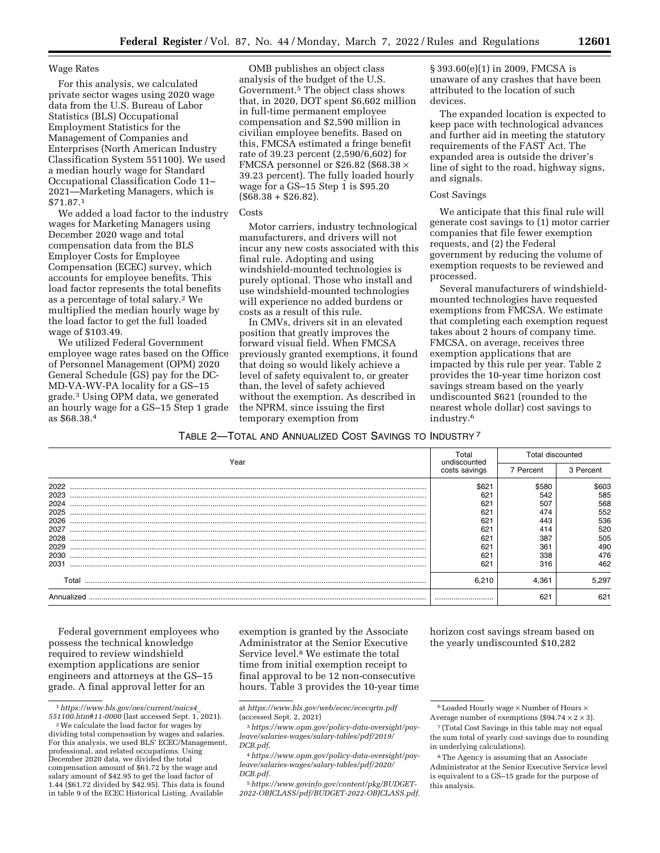#### Wage Rates

For this analysis, we calculated private sector wages using 2020 wage data from the U.S. Bureau of Labor Statistics (BLS) Occupational Employment Statistics for the Management of Companies and Enterprises (North American Industry Classification System 551100). We used a median hourly wage for Standard Occupational Classification Code 11– 2021—Marketing Managers, which is \$71.87.1

We added a load factor to the industry wages for Marketing Managers using December 2020 wage and total compensation data from the BLS Employer Costs for Employee Compensation (ECEC) survey, which accounts for employee benefits. This load factor represents the total benefits as a percentage of total salary.2 We multiplied the median hourly wage by the load factor to get the full loaded wage of \$103.49.

We utilized Federal Government employee wage rates based on the Office of Personnel Management (OPM) 2020 General Schedule (GS) pay for the DC-MD-VA-WV-PA locality for a GS–15 grade.3 Using OPM data, we generated an hourly wage for a GS–15 Step 1 grade as \$68.38.4

OMB publishes an object class analysis of the budget of the U.S. Government.5 The object class shows that, in 2020, DOT spent \$6,602 million in full-time permanent employee compensation and \$2,590 million in civilian employee benefits. Based on this, FMCSA estimated a fringe benefit rate of 39.23 percent (2,590/6,602) for FMCSA personnel or \$26.82 (\$68.38  $\times$ 39.23 percent). The fully loaded hourly wage for a GS–15 Step 1 is \$95.20  $($68.38 + $26.82).$ 

#### Costs

Motor carriers, industry technological manufacturers, and drivers will not incur any new costs associated with this final rule. Adopting and using windshield-mounted technologies is purely optional. Those who install and use windshield-mounted technologies will experience no added burdens or costs as a result of this rule.

In CMVs, drivers sit in an elevated position that greatly improves the forward visual field. When FMCSA previously granted exemptions, it found that doing so would likely achieve a level of safety equivalent to, or greater than, the level of safety achieved without the exemption. As described in the NPRM, since issuing the first temporary exemption from

§ 393.60(e)(1) in 2009, FMCSA is unaware of any crashes that have been attributed to the location of such devices.

The expanded location is expected to keep pace with technological advances and further aid in meeting the statutory requirements of the FAST Act. The expanded area is outside the driver's line of sight to the road, highway signs, and signals.

#### Cost Savings

We anticipate that this final rule will generate cost savings to (1) motor carrier companies that file fewer exemption requests, and (2) the Federal government by reducing the volume of exemption requests to be reviewed and processed.

Several manufacturers of windshieldmounted technologies have requested exemptions from FMCSA. We estimate that completing each exemption request takes about 2 hours of company time. FMCSA, on average, receives three exemption applications that are impacted by this rule per year. Table 2 provides the 10-year time horizon cost savings stream based on the yearly undiscounted \$621 (rounded to the nearest whole dollar) cost savings to industry.6

| Table 2—Total and Annualized Cost Savings to Industry <sup>7</sup> |  |
|--------------------------------------------------------------------|--|
|--------------------------------------------------------------------|--|

| Year       | Total<br>undiscounted | Total discounted |           |
|------------|-----------------------|------------------|-----------|
|            | costs savings         | 7 Percent        | 3 Percent |
| 2022       | \$621                 | \$580            | \$603     |
| 2023       |                       | 542              | 585       |
| 2024       | 62 <sup>1</sup>       | 507              | 568       |
| 2025       | 621                   | 474              | 552       |
| 2026       | 621                   | 443              | 536       |
| 2027       | 621                   | 414              | 520       |
| 2028       | 621                   | 387              | 505       |
| 2029       | 621                   | 36 <sup>1</sup>  | 490       |
| 2030       | 621                   | 338              | 476       |
| 2031       | 621                   | 316              | 462       |
| Total      | 6.210                 | 4.361            | 5.297     |
| Annualized |                       | 621              | 621       |

Federal government employees who possess the technical knowledge required to review windshield exemption applications are senior engineers and attorneys at the GS–15 grade. A final approval letter for an

exemption is granted by the Associate Administrator at the Senior Executive Service level.8 We estimate the total time from initial exemption receipt to final approval to be 12 non-consecutive hours. Table 3 provides the 10-year time

horizon cost savings stream based on the yearly undiscounted \$10,282

<sup>1</sup>*[https://www.bls.gov/oes/current/naics4](https://www.bls.gov/oes/current/naics4_551100.htm#11-0000)*\_  $551100.html#11-0000$  (last accessed Sept. 1, 2021).<br><sup>2</sup>We calculate the load factor for wages by

dividing total compensation by wages and salaries. For this analysis, we used BLS' ECEC/Management, professional, and related occupations. Using December 2020 data, we divided the total compensation amount of \$61.72 by the wage and salary amount of \$42.95 to get the load factor of 1.44 (\$61.72 divided by \$42.95). This data is found in table 9 of the ECEC Historical Listing. Available

at *<https://www.bls.gov/web/ecec/ececqrtn.pdf>*  (accessed Sept. 2, 2021)

<sup>3</sup>*[https://www.opm.gov/policy-data-oversight/pay](https://www.opm.gov/policy-data-oversight/pay-leave/salaries-wages/salary-tables/pdf/2019/DCB.pdf)[leave/salaries-wages/salary-tables/pdf/2019/](https://www.opm.gov/policy-data-oversight/pay-leave/salaries-wages/salary-tables/pdf/2019/DCB.pdf)  [DCB.pdf](https://www.opm.gov/policy-data-oversight/pay-leave/salaries-wages/salary-tables/pdf/2019/DCB.pdf)*.

<sup>4</sup>*[https://www.opm.gov/policy-data-oversight/pay](https://www.opm.gov/policy-data-oversight/pay-leave/salaries-wages/salary-tables/pdf/2020/DCB.pdf)[leave/salaries-wages/salary-tables/pdf/2020/](https://www.opm.gov/policy-data-oversight/pay-leave/salaries-wages/salary-tables/pdf/2020/DCB.pdf)  [DCB.pdf](https://www.opm.gov/policy-data-oversight/pay-leave/salaries-wages/salary-tables/pdf/2020/DCB.pdf)*.

<sup>5</sup>*[https://www.govinfo.gov/content/pkg/BUDGET-](https://www.govinfo.gov/content/pkg/BUDGET-2022-OBJCLASS/pdf/BUDGET-2022-OBJCLASS.pdf)[2022-OBJCLASS/pdf/BUDGET-2022-OBJCLASS.pdf](https://www.govinfo.gov/content/pkg/BUDGET-2022-OBJCLASS/pdf/BUDGET-2022-OBJCLASS.pdf)*.

<sup>6</sup>Loaded Hourly wage × Number of Hours × Average number of exemptions (\$94.74  $\times$  2  $\times$  3).

<sup>7</sup> (Total Cost Savings in this table may not equal the sum total of yearly cost savings due to rounding in underlying calculations).

<sup>8</sup>The Agency is assuming that an Associate Administrator at the Senior Executive Service level is equivalent to a GS–15 grade for the purpose of this analysis.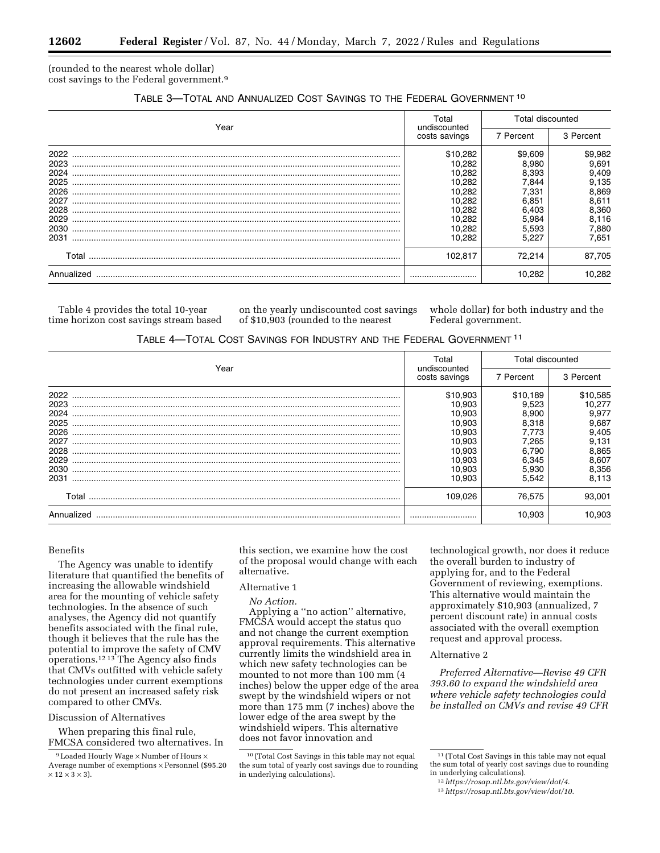(rounded to the nearest whole dollar) cost savings to the Federal government.9

| Year       | Total                                      | <b>Total discounted</b> |           |
|------------|--------------------------------------------|-------------------------|-----------|
|            | undiscounted<br>costs savings<br>7 Percent |                         | 3 Percent |
| 2022       | \$10.282                                   | \$9,609                 | \$9,982   |
| 2023       | 10.282                                     | 8.980                   | 9,691     |
| 2024       | 10,282                                     | 8,393                   | 9,409     |
| 2025       | 10,282                                     | 7.844                   | 9,135     |
| 2026       | 10,282                                     | 7.331                   | 8,869     |
| 2027       | 10.282                                     | 6.851                   | 8,611     |
| 2028       | 10,282                                     | 6,403                   | 8,360     |
| 2029       | 10,282                                     | 5,984                   | 8,116     |
| 2030       | 10.282                                     | 5.593                   | 7,880     |
| 2031       | 10.282                                     | 5.227                   | 7,651     |
| Total      | 102.817                                    | 72.214                  | 87,705    |
| Annualized |                                            | 10.282                  | 10.282    |

Table 4 provides the total 10-year time horizon cost savings stream based on the yearly undiscounted cost savings of \$10,903 (rounded to the nearest

whole dollar) for both industry and the Federal government.

|  |  |  | TABLE 4-TOTAL COST SAVINGS FOR INDUSTRY AND THE FEDERAL GOVERNMENT 11 |
|--|--|--|-----------------------------------------------------------------------|
|--|--|--|-----------------------------------------------------------------------|

| Year       | Total<br>undiscounted | <b>Total discounted</b> |          |
|------------|-----------------------|-------------------------|----------|
|            | costs savings         | 7 Percent               |          |
| 2022       | \$10,903              | \$10.189                | \$10,585 |
| 2023       | 10.903                | 9.523                   | 10.277   |
| 2024       | 10.903                | 8.900                   | 9,977    |
| 2025       | 10.903                | 8.318                   | 9.687    |
| 2026       | 10.903                | 7.773                   | 9.405    |
| 2027       | 10.903                | 7.265                   | 9,131    |
| 2028       | 10.903                | 6.790                   | 8,865    |
| 2029       | 10.903                | 6.345                   | 8.607    |
| 2030       | 10.903                | 5.930                   | 8,356    |
| 2031       | 10.903                | 5.542                   | 8,113    |
| Total      | 109.026               | 76.575                  | 93.001   |
| Annualized |                       | 10.903                  | 10.903   |

### Benefits

The Agency was unable to identify literature that quantified the benefits of increasing the allowable windshield area for the mounting of vehicle safety technologies. In the absence of such analyses, the Agency did not quantify benefits associated with the final rule, though it believes that the rule has the potential to improve the safety of CMV operations.12 13 The Agency also finds that CMVs outfitted with vehicle safety technologies under current exemptions do not present an increased safety risk compared to other CMVs.

#### Discussion of Alternatives

When preparing this final rule, FMCSA considered two alternatives. In this section, we examine how the cost of the proposal would change with each alternative.

# Alternative 1

*No Action.* 

Applying a ''no action'' alternative, FMCSA would accept the status quo and not change the current exemption approval requirements. This alternative currently limits the windshield area in which new safety technologies can be mounted to not more than 100 mm (4 inches) below the upper edge of the area swept by the windshield wipers or not more than 175 mm (7 inches) above the lower edge of the area swept by the windshield wipers. This alternative does not favor innovation and

technological growth, nor does it reduce the overall burden to industry of applying for, and to the Federal Government of reviewing, exemptions. This alternative would maintain the approximately \$10,903 (annualized, 7 percent discount rate) in annual costs associated with the overall exemption request and approval process.

### Alternative 2

*Preferred Alternative—Revise 49 CFR 393.60 to expand the windshield area where vehicle safety technologies could be installed on CMVs and revise 49 CFR* 

<sup>9</sup>Loaded Hourly Wage × Number of Hours × Average number of exemptions × Personnel (\$95.20  $\times$  12  $\times$  3  $\times$  3).

<sup>10</sup> (Total Cost Savings in this table may not equal the sum total of yearly cost savings due to rounding in underlying calculations).

<sup>11</sup> (Total Cost Savings in this table may not equal the sum total of yearly cost savings due to rounding<br>in underlying calculations).

in underlying calculations). 12*https://rosap.ntl.bts.gov/view/dot/4*[.](https://rosap.ntl.bts.gov/view/dot/4) 13*<https://rosap.ntl.bts.gov/view/dot/10>*.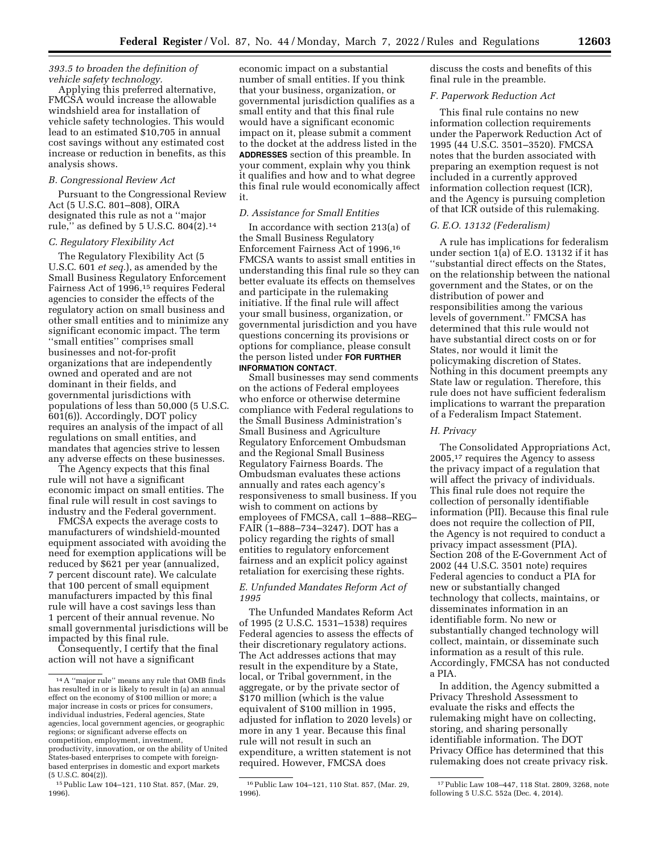### *393.5 to broaden the definition of vehicle safety technology.*

Applying this preferred alternative, FMCSA would increase the allowable windshield area for installation of vehicle safety technologies. This would lead to an estimated \$10,705 in annual cost savings without any estimated cost increase or reduction in benefits, as this analysis shows.

#### *B. Congressional Review Act*

Pursuant to the Congressional Review Act (5 U.S.C. 801–808), OIRA designated this rule as not a ''major rule,'' as defined by 5 U.S.C. 804(2).14

## *C. Regulatory Flexibility Act*

The Regulatory Flexibility Act (5 U.S.C. 601 *et seq.*), as amended by the Small Business Regulatory Enforcement Fairness Act of 1996,15 requires Federal agencies to consider the effects of the regulatory action on small business and other small entities and to minimize any significant economic impact. The term ''small entities'' comprises small businesses and not-for-profit organizations that are independently owned and operated and are not dominant in their fields, and governmental jurisdictions with populations of less than 50,000 (5 U.S.C. 601(6)). Accordingly, DOT policy requires an analysis of the impact of all regulations on small entities, and mandates that agencies strive to lessen any adverse effects on these businesses.

The Agency expects that this final rule will not have a significant economic impact on small entities. The final rule will result in cost savings to industry and the Federal government.

FMCSA expects the average costs to manufacturers of windshield-mounted equipment associated with avoiding the need for exemption applications will be reduced by \$621 per year (annualized, 7 percent discount rate). We calculate that 100 percent of small equipment manufacturers impacted by this final rule will have a cost savings less than 1 percent of their annual revenue. No small governmental jurisdictions will be impacted by this final rule.

Consequently, I certify that the final action will not have a significant

economic impact on a substantial number of small entities. If you think that your business, organization, or governmental jurisdiction qualifies as a small entity and that this final rule would have a significant economic impact on it, please submit a comment to the docket at the address listed in the **ADDRESSES** section of this preamble. In your comment, explain why you think it qualifies and how and to what degree this final rule would economically affect it.

#### *D. Assistance for Small Entities*

In accordance with section 213(a) of the Small Business Regulatory Enforcement Fairness Act of 1996,16 FMCSA wants to assist small entities in understanding this final rule so they can better evaluate its effects on themselves and participate in the rulemaking initiative. If the final rule will affect your small business, organization, or governmental jurisdiction and you have questions concerning its provisions or options for compliance, please consult the person listed under **FOR FURTHER INFORMATION CONTACT**.

Small businesses may send comments on the actions of Federal employees who enforce or otherwise determine compliance with Federal regulations to the Small Business Administration's Small Business and Agriculture Regulatory Enforcement Ombudsman and the Regional Small Business Regulatory Fairness Boards. The Ombudsman evaluates these actions annually and rates each agency's responsiveness to small business. If you wish to comment on actions by employees of FMCSA, call 1–888–REG– FAIR (1–888–734–3247). DOT has a policy regarding the rights of small entities to regulatory enforcement fairness and an explicit policy against retaliation for exercising these rights.

### *E. Unfunded Mandates Reform Act of 1995*

The Unfunded Mandates Reform Act of 1995 (2 U.S.C. 1531–1538) requires Federal agencies to assess the effects of their discretionary regulatory actions. The Act addresses actions that may result in the expenditure by a State, local, or Tribal government, in the aggregate, or by the private sector of \$170 million (which is the value equivalent of \$100 million in 1995, adjusted for inflation to 2020 levels) or more in any 1 year. Because this final rule will not result in such an expenditure, a written statement is not required. However, FMCSA does

discuss the costs and benefits of this final rule in the preamble.

### *F. Paperwork Reduction Act*

This final rule contains no new information collection requirements under the Paperwork Reduction Act of 1995 (44 U.S.C. 3501–3520). FMCSA notes that the burden associated with preparing an exemption request is not included in a currently approved information collection request (ICR), and the Agency is pursuing completion of that ICR outside of this rulemaking.

### *G. E.O. 13132 (Federalism)*

A rule has implications for federalism under section 1(a) of E.O. 13132 if it has ''substantial direct effects on the States, on the relationship between the national government and the States, or on the distribution of power and responsibilities among the various levels of government.'' FMCSA has determined that this rule would not have substantial direct costs on or for States, nor would it limit the policymaking discretion of States. Nothing in this document preempts any State law or regulation. Therefore, this rule does not have sufficient federalism implications to warrant the preparation of a Federalism Impact Statement.

#### *H. Privacy*

The Consolidated Appropriations Act, 2005,17 requires the Agency to assess the privacy impact of a regulation that will affect the privacy of individuals. This final rule does not require the collection of personally identifiable information (PII). Because this final rule does not require the collection of PII, the Agency is not required to conduct a privacy impact assessment (PIA). Section 208 of the E-Government Act of 2002 (44 U.S.C. 3501 note) requires Federal agencies to conduct a PIA for new or substantially changed technology that collects, maintains, or disseminates information in an identifiable form. No new or substantially changed technology will collect, maintain, or disseminate such information as a result of this rule. Accordingly, FMCSA has not conducted a PIA.

In addition, the Agency submitted a Privacy Threshold Assessment to evaluate the risks and effects the rulemaking might have on collecting, storing, and sharing personally identifiable information. The DOT Privacy Office has determined that this rulemaking does not create privacy risk.

<sup>14</sup>A ''major rule'' means any rule that OMB finds has resulted in or is likely to result in (a) an annual effect on the economy of \$100 million or more; a major increase in costs or prices for consumers, individual industries, Federal agencies, State agencies, local government agencies, or geographic regions; or significant adverse effects on competition, employment, investment, productivity, innovation, or on the ability of United States-based enterprises to compete with foreignbased enterprises in domestic and export markets  $(5$  U.S.C.  $804(2)$ ).

<sup>15</sup>Public Law 104–121, 110 Stat. 857, (Mar. 29, 1996).

<sup>16</sup>Public Law 104–121, 110 Stat. 857, (Mar. 29, 1996).

<sup>17</sup>Public Law 108–447, 118 Stat. 2809, 3268, note following 5 U.S.C. 552a (Dec. 4, 2014).